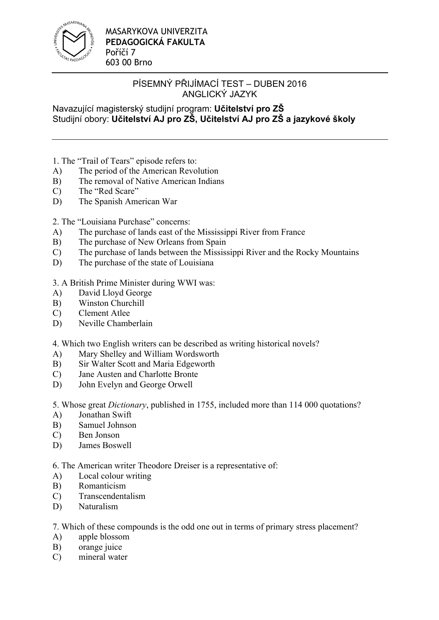

Navazující magisterský studijní program: **Učitelství pro ZŠ** Studijní obory: **Učitelství AJ pro ZŠ, Učitelství AJ pro ZŠ a jazykové školy**

1. The "Trail of Tears" episode refers to:

- A) The period of the American Revolution
- B) The removal of Native American Indians
- C) The "Red Scare"
- D) The Spanish American War

2. The "Louisiana Purchase" concerns:

- A) The purchase of lands east of the Mississippi River from France
- B) The purchase of New Orleans from Spain
- C) The purchase of lands between the Mississippi River and the Rocky Mountains
- D) The purchase of the state of Louisiana

3. A British Prime Minister during WWI was:

- A) David Lloyd George
- B) Winston Churchill
- C) Clement Atlee
- D) Neville Chamberlain
- 4. Which two English writers can be described as writing historical novels?
- A) Mary Shelley and William Wordsworth
- B) Sir Walter Scott and Maria Edgeworth
- C) Jane Austen and Charlotte Bronte
- D) John Evelyn and George Orwell

5. Whose great *Dictionary*, published in 1755, included more than 114 000 quotations?

- A) Jonathan Swift
- B) Samuel Johnson
- C) Ben Jonson
- D) James Boswell

6. The American writer Theodore Dreiser is a representative of:

- A) Local colour writing
- B) Romanticism
- C) Transcendentalism
- D) Naturalism

7. Which of these compounds is the odd one out in terms of primary stress placement?

- A) apple blossom
- B) orange juice
- C) mineral water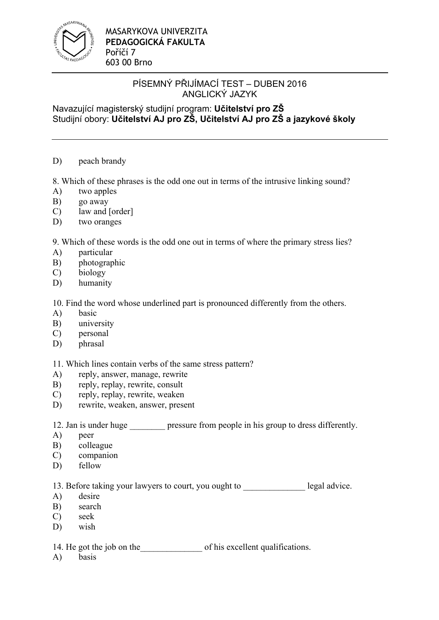

Navazující magisterský studijní program: **Učitelství pro ZŠ** Studijní obory: **Učitelství AJ pro ZŠ, Učitelství AJ pro ZŠ a jazykové školy**

D) peach brandy

8. Which of these phrases is the odd one out in terms of the intrusive linking sound?

- A) two apples
- B) go away
- C) law and [order]
- D) two oranges

9. Which of these words is the odd one out in terms of where the primary stress lies?

- A) particular
- B) photographic
- C) biology
- D) humanity

10. Find the word whose underlined part is pronounced differently from the others.

- A) basic
- B) university
- C) personal
- D) phrasal

11. Which lines contain verbs of the same stress pattern?

- A) reply, answer, manage, rewrite
- B) reply, replay, rewrite, consult
- C) reply, replay, rewrite, weaken
- D) rewrite, weaken, answer, present

12. Jan is under huge pressure from people in his group to dress differently.

- A) peer
- B) colleague
- C) companion
- D) fellow

13. Before taking your lawyers to court, you ought to legal advice.

- A) desire
- B) search
- C) seek
- D) wish

14. He got the job on the our of his excellent qualifications.

A) basis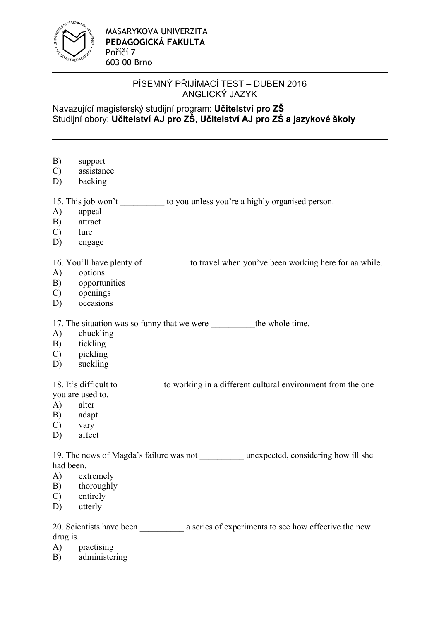

## Navazující magisterský studijní program: **Učitelství pro ZŠ** Studijní obory: **Učitelství AJ pro ZŠ, Učitelství AJ pro ZŠ a jazykové školy**

- B) support
- C) assistance
- D) backing

15. This job won't to you unless you're a highly organised person.

- A) appeal
- B) attract
- C) lure
- D) engage

16. You'll have plenty of to travel when you've been working here for aa while.

- A) options
- B) opportunities
- C) openings
- D) occasions

17. The situation was so funny that we were the whole time.

- A) chuckling
- B) tickling
- C) pickling
- D) suckling

18. It's difficult to \_\_\_\_\_\_\_\_\_\_to working in a different cultural environment from the one you are used to.

- A) alter
- B) adapt
- C) vary
- D) affect

19. The news of Magda's failure was not unexpected, considering how ill she had been.

- A) extremely
- B) thoroughly
- C) entirely
- D) utterly

20. Scientists have been a series of experiments to see how effective the new drug is.

- A) practising
- B) administering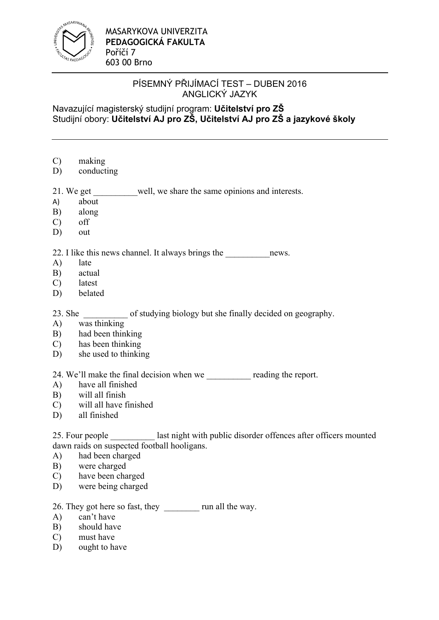

## Navazující magisterský studijní program: **Učitelství pro ZŠ** Studijní obory: **Učitelství AJ pro ZŠ, Učitelství AJ pro ZŠ a jazykové školy**

- C) making
- D) conducting
- 21. We get well, we share the same opinions and interests.
- A) about
- B) along
- C) off
- D) out

### 22. I like this news channel. It always brings the \_\_\_\_\_\_\_\_\_\_\_\_\_\_\_\_\_\_\_\_\_\_\_\_\_\_\_\_\_\_

- A) late
- B) actual
- C) latest
- D) belated

23. She of studying biology but she finally decided on geography.

- A) was thinking
- B) had been thinking
- C) has been thinking
- D) she used to thinking

24. We'll make the final decision when we reading the report.

- A) have all finished
- B) will all finish
- C) will all have finished
- D) all finished

25. Four people last night with public disorder offences after officers mounted dawn raids on suspected football hooligans.

- A) had been charged
- B) were charged
- C) have been charged
- D) were being charged

26. They got here so fast, they \_\_\_\_\_\_\_\_ run all the way.

- A) can't have
- B) should have
- C) must have
- D) ought to have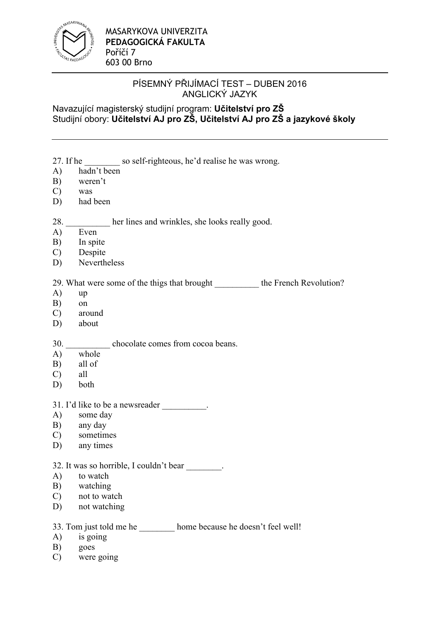

## Navazující magisterský studijní program: **Učitelství pro ZŠ** Studijní obory: **Učitelství AJ pro ZŠ, Učitelství AJ pro ZŠ a jazykové školy**

- 27. If he \_\_\_\_\_\_\_\_ so self-righteous, he'd realise he was wrong.
- A) hadn't been
- B) weren't
- C) was
- D) had been

#### 28. her lines and wrinkles, she looks really good.

- A) Even
- B) In spite
- C) Despite
- D) Nevertheless

## 29. What were some of the thigs that brought the French Revolution?

- A) up
- B) on
- C) around
- D) about

### 30. chocolate comes from cocoa beans.

- A) whole
- B) all of
- C) all
- D) both

#### 31. I'd like to be a newsreader  $\qquad \qquad$

- A) some day
- B) any day
- C) sometimes
- D) any times

#### 32. It was so horrible, I couldn't bear \_\_\_\_\_\_\_\_.

- A) to watch
- B) watching
- C) not to watch
- D) not watching

## 33. Tom just told me he home because he doesn't feel well!

- A) is going
- B) goes
- C) were going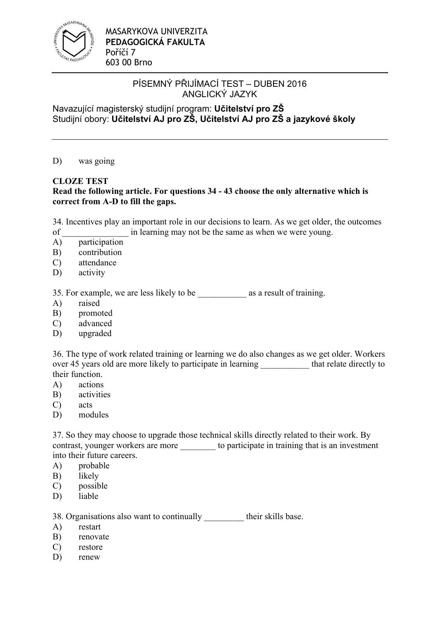

Navazující magisterský studijní program: **Učitelství pro ZŠ** Studijní obory: **Učitelství AJ pro ZŠ, Učitelství AJ pro ZŠ a jazykové školy**

D) was going

## **CLOZE TEST**

### **Read the following article. For questions 34 - 43 choose the only alternative which is correct from A-D to fill the gaps.**

34. Incentives play an important role in our decisions to learn. As we get older, the outcomes of in learning may not be the same as when we were young.

- A) participation
- B) contribution
- C) attendance
- D) activity

35. For example, we are less likely to be \_\_\_\_\_\_\_\_\_\_\_ as a result of training.

- A) raised
- B) promoted
- C) advanced
- D) upgraded

36. The type of work related training or learning we do also changes as we get older. Workers over 45 years old are more likely to participate in learning that relate directly to their function.

- A) actions
- B) activities
- C) acts
- D) modules

37. So they may choose to upgrade those technical skills directly related to their work. By contrast, younger workers are more to participate in training that is an investment into their future careers.

- A) probable
- B) likely
- C) possible
- D) liable

38. Organisations also want to continually their skills base.

- A) restart
- B) renovate
- C) restore
- D) renew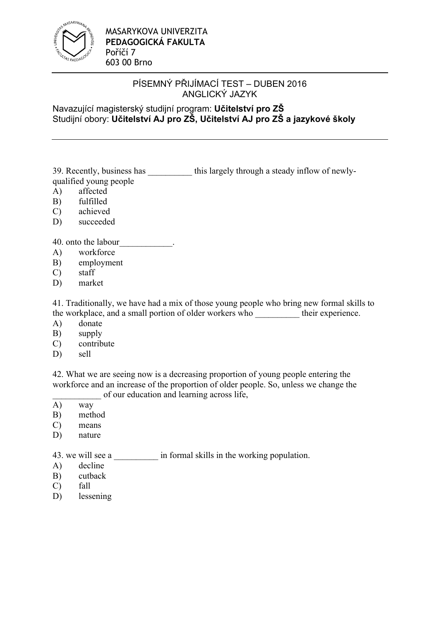

## Navazující magisterský studijní program: **Učitelství pro ZŠ** Studijní obory: **Učitelství AJ pro ZŠ, Učitelství AJ pro ZŠ a jazykové školy**

39. Recently, business has \_\_\_\_\_\_\_\_\_\_ this largely through a steady inflow of newlyqualified young people

- A) affected
- B) fulfilled
- C) achieved
- D) succeeded

40. onto the labour\_\_\_\_\_\_\_\_\_\_\_\_.

- A) workforce
- B) employment
- C) staff
- D) market

41. Traditionally, we have had a mix of those young people who bring new formal skills to the workplace, and a small portion of older workers who \_\_\_\_\_\_\_\_\_\_ their experience.

- A) donate
- B) supply
- C) contribute
- D) sell

42. What we are seeing now is a decreasing proportion of young people entering the workforce and an increase of the proportion of older people. So, unless we change the of our education and learning across life,

- A) way
- B) method
- C) means
- D) nature

43. we will see a  $\qquad \qquad$  in formal skills in the working population.

- A) decline
- B) cutback
- C) fall
- D) lessening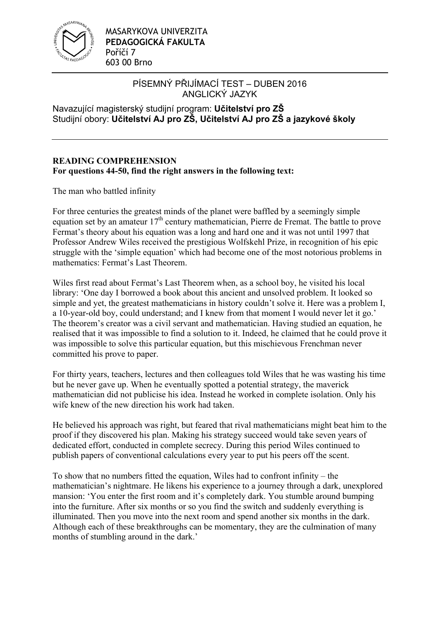

Navazující magisterský studijní program: **Učitelství pro ZŠ** Studijní obory: **Učitelství AJ pro ZŠ, Učitelství AJ pro ZŠ a jazykové školy**

## **READING COMPREHENSION For questions 44-50, find the right answers in the following text:**

The man who battled infinity

For three centuries the greatest minds of the planet were baffled by a seemingly simple equation set by an amateur  $17<sup>th</sup>$  century mathematician, Pierre de Fremat. The battle to prove Fermat's theory about his equation was a long and hard one and it was not until 1997 that Professor Andrew Wiles received the prestigious Wolfskehl Prize, in recognition of his epic struggle with the ʻsimple equation' which had become one of the most notorious problems in mathematics: Fermat's Last Theorem.

Wiles first read about Fermat's Last Theorem when, as a school boy, he visited his local library: ʻOne day I borrowed a book about this ancient and unsolved problem. It looked so simple and yet, the greatest mathematicians in history couldn't solve it. Here was a problem I, a 10-year-old boy, could understand; and I knew from that moment I would never let it go.' The theorem's creator was a civil servant and mathematician. Having studied an equation, he realised that it was impossible to find a solution to it. Indeed, he claimed that he could prove it was impossible to solve this particular equation, but this mischievous Frenchman never committed his prove to paper.

For thirty years, teachers, lectures and then colleagues told Wiles that he was wasting his time but he never gave up. When he eventually spotted a potential strategy, the maverick mathematician did not publicise his idea. Instead he worked in complete isolation. Only his wife knew of the new direction his work had taken.

He believed his approach was right, but feared that rival mathematicians might beat him to the proof if they discovered his plan. Making his strategy succeed would take seven years of dedicated effort, conducted in complete secrecy. During this period Wiles continued to publish papers of conventional calculations every year to put his peers off the scent.

To show that no numbers fitted the equation, Wiles had to confront infinity – the mathematician's nightmare. He likens his experience to a journey through a dark, unexplored mansion: ʻYou enter the first room and it's completely dark. You stumble around bumping into the furniture. After six months or so you find the switch and suddenly everything is illuminated. Then you move into the next room and spend another six months in the dark. Although each of these breakthroughs can be momentary, they are the culmination of many months of stumbling around in the dark.'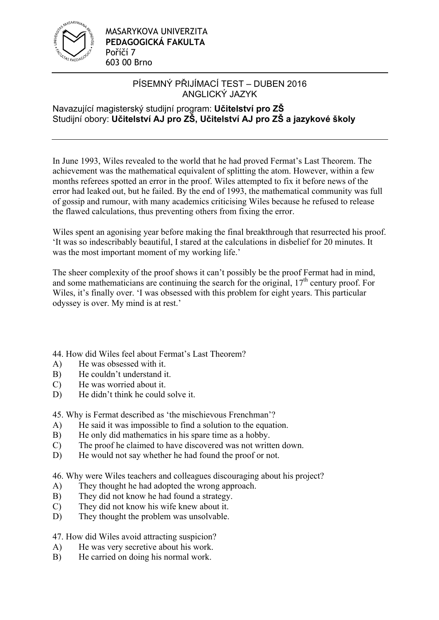

## Navazující magisterský studijní program: **Učitelství pro ZŠ** Studijní obory: **Učitelství AJ pro ZŠ, Učitelství AJ pro ZŠ a jazykové školy**

In June 1993, Wiles revealed to the world that he had proved Fermat's Last Theorem. The achievement was the mathematical equivalent of splitting the atom. However, within a few months referees spotted an error in the proof. Wiles attempted to fix it before news of the error had leaked out, but he failed. By the end of 1993, the mathematical community was full of gossip and rumour, with many academics criticising Wiles because he refused to release the flawed calculations, thus preventing others from fixing the error.

Wiles spent an agonising year before making the final breakthrough that resurrected his proof. ʻIt was so indescribably beautiful, I stared at the calculations in disbelief for 20 minutes. It was the most important moment of my working life.'

The sheer complexity of the proof shows it can't possibly be the proof Fermat had in mind, and some mathematicians are continuing the search for the original,  $17<sup>th</sup>$  century proof. For Wiles, it's finally over. ʻI was obsessed with this problem for eight years. This particular odyssey is over. My mind is at rest.'

44. How did Wiles feel about Fermat's Last Theorem?

- A) He was obsessed with it.
- B) He couldn't understand it.
- C) He was worried about it.
- D) He didn't think he could solve it.

45. Why is Fermat described as ʻthe mischievous Frenchman'?

- A) He said it was impossible to find a solution to the equation.
- B) He only did mathematics in his spare time as a hobby.
- C) The proof he claimed to have discovered was not written down.
- D) He would not say whether he had found the proof or not.

46. Why were Wiles teachers and colleagues discouraging about his project?

- A) They thought he had adopted the wrong approach.
- B) They did not know he had found a strategy.
- C) They did not know his wife knew about it.
- D) They thought the problem was unsolvable.

47. How did Wiles avoid attracting suspicion?

- A) He was very secretive about his work.
- B) He carried on doing his normal work.